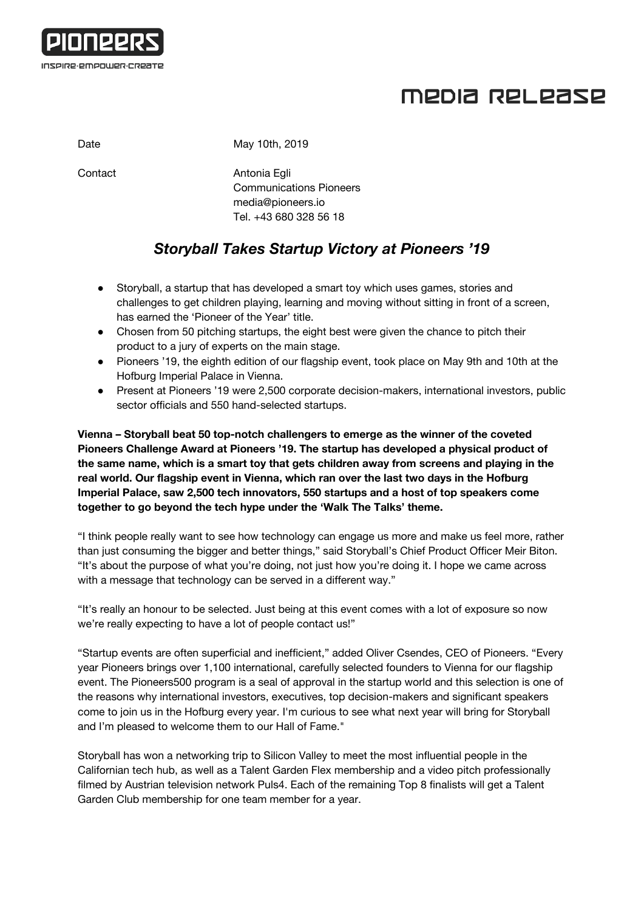

## MEDIA RELEASE

Date May 10th, 2019

Contact **Antonia Egli** Communications Pioneers [media@pioneers.io](mailto:media@pioneers.io) Tel. +43 680 328 56 18

## *Storyball Takes Startup Victory at Pioneers '19*

- Storyball, a startup that has developed a smart toy which uses games, stories and challenges to get children playing, learning and moving without sitting in front of a screen, has earned the 'Pioneer of the Year' title.
- Chosen from 50 pitching startups, the eight best were given the chance to pitch their product to a jury of experts on the main stage.
- Pioneers '19, the eighth edition of our flagship event, took place on May 9th and 10th at the Hofburg Imperial Palace in Vienna.
- Present at Pioneers '19 were 2,500 corporate decision-makers, international investors, public sector officials and 550 hand-selected startups.

**Vienna – Storyball beat 50 top-notch challengers to emerge as the winner of the coveted Pioneers Challenge Award at Pioneers '19. The startup has developed a physical product of the same name, which is a smart toy that gets children away from screens and playing in the real world. Our flagship event in Vienna, which ran over the last two days in the Hofburg Imperial Palace, saw 2,500 tech innovators, 550 startups and a host of top speakers come together to go beyond the tech hype under the 'Walk The Talks' theme.**

"I think people really want to see how technology can engage us more and make us feel more, rather than just consuming the bigger and better things," said Storyball's Chief Product Officer Meir Biton. "It's about the purpose of what you're doing, not just how you're doing it. I hope we came across with a message that technology can be served in a different way."

"It's really an honour to be selected. Just being at this event comes with a lot of exposure so now we're really expecting to have a lot of people contact us!"

"Startup events are often superficial and inefficient," added Oliver Csendes, CEO of Pioneers. "Every year Pioneers brings over 1,100 international, carefully selected founders to Vienna for our flagship event. The Pioneers500 program is a seal of approval in the startup world and this selection is one of the reasons why international investors, executives, top decision-makers and significant speakers come to join us in the Hofburg every year. I'm curious to see what next year will bring for Storyball and I'm pleased to welcome them to our Hall of Fame."

Storyball has won a networking trip to Silicon Valley to meet the most influential people in the Californian tech hub, as well as a Talent Garden Flex membership and a video pitch professionally filmed by Austrian television network Puls4. Each of the remaining Top 8 finalists will get a Talent Garden Club membership for one team member for a year.